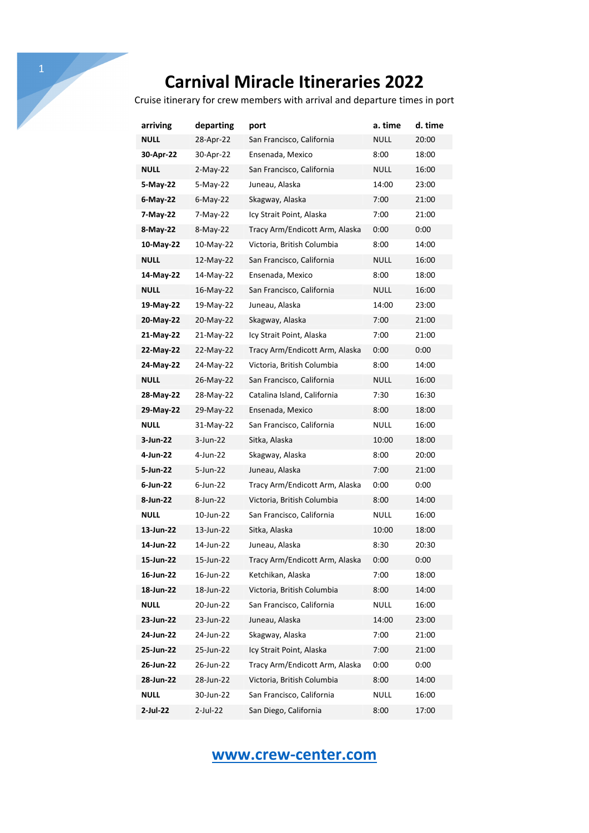Cruise itinerary for crew members with arrival and departure times in port

| arriving    | departing   | port                           | a. time     | d. time |
|-------------|-------------|--------------------------------|-------------|---------|
| NULL        | 28-Apr-22   | San Francisco, California      | NULL        | 20:00   |
| 30-Apr-22   | 30-Apr-22   | Ensenada, Mexico               | 8:00        | 18:00   |
| <b>NULL</b> | $2-May-22$  | San Francisco, California      | NULL        | 16:00   |
| 5-May-22    | $5-Mav-22$  | Juneau, Alaska                 | 14:00       | 23:00   |
| 6-May-22    | $6$ -May-22 | Skagway, Alaska                | 7:00        | 21:00   |
| 7-May-22    | 7-May-22    | Icy Strait Point, Alaska       | 7:00        | 21:00   |
| 8-May-22    | 8-May-22    | Tracy Arm/Endicott Arm, Alaska | 0:00        | 0:00    |
| 10-May-22   | 10-May-22   | Victoria, British Columbia     | 8:00        | 14:00   |
| <b>NULL</b> | 12-May-22   | San Francisco, California      | NULL        | 16:00   |
| 14-May-22   | 14-May-22   | Ensenada, Mexico               | 8:00        | 18:00   |
| <b>NULL</b> | 16-May-22   | San Francisco, California      | NULL        | 16:00   |
| 19-May-22   | 19-May-22   | Juneau, Alaska                 | 14:00       | 23:00   |
| 20-May-22   | 20-May-22   | Skagway, Alaska                | 7:00        | 21:00   |
| 21-May-22   | 21-May-22   | Icy Strait Point, Alaska       | 7:00        | 21:00   |
| 22-May-22   | 22-May-22   | Tracy Arm/Endicott Arm, Alaska | 0:00        | 0:00    |
| 24-May-22   | 24-May-22   | Victoria, British Columbia     | 8:00        | 14:00   |
| <b>NULL</b> | 26-May-22   | San Francisco, California      | <b>NULL</b> | 16:00   |
| 28-May-22   | 28-May-22   | Catalina Island, California    | 7:30        | 16:30   |
| 29-May-22   | 29-May-22   | Ensenada, Mexico               | 8:00        | 18:00   |
| NULL        | 31-May-22   | San Francisco, California      | NULL        | 16:00   |
| 3-Jun-22    | 3-Jun-22    | Sitka, Alaska                  | 10:00       | 18:00   |
| 4-Jun-22    | 4-Jun-22    | Skagway, Alaska                | 8:00        | 20:00   |
| 5-Jun-22    | 5-Jun-22    | Juneau, Alaska                 | 7:00        | 21:00   |
| 6-Jun-22    | $6$ -Jun-22 | Tracy Arm/Endicott Arm, Alaska | 0:00        | 0:00    |
| 8-Jun-22    | 8-Jun-22    | Victoria, British Columbia     | 8:00        | 14:00   |
| <b>NULL</b> | 10-Jun-22   | San Francisco, California      | NULL        | 16:00   |
| 13-Jun-22   | 13-Jun-22   | Sitka, Alaska                  | 10:00       | 18:00   |
| 14-Jun-22   | 14-Jun-22   | Juneau, Alaska                 | 8:30        | 20:30   |
| 15-Jun-22   | 15-Jun-22   | Tracy Arm/Endicott Arm, Alaska | 0:00        | 0:00    |
| 16-Jun-22   | 16-Jun-22   | Ketchikan, Alaska              | 7:00        | 18:00   |
| 18-Jun-22   | 18-Jun-22   | Victoria, British Columbia     | 8:00        | 14:00   |
| <b>NULL</b> | 20-Jun-22   | San Francisco, California      | <b>NULL</b> | 16:00   |
| 23-Jun-22   | 23-Jun-22   | Juneau, Alaska                 | 14:00       | 23:00   |
| 24-Jun-22   | 24-Jun-22   | Skagway, Alaska                | 7:00        | 21:00   |
| 25-Jun-22   | 25-Jun-22   | Icy Strait Point, Alaska       | 7:00        | 21:00   |
| 26-Jun-22   | 26-Jun-22   | Tracy Arm/Endicott Arm, Alaska | 0:00        | 0:00    |
| 28-Jun-22   | 28-Jun-22   | Victoria, British Columbia     | 8:00        | 14:00   |
| <b>NULL</b> | 30-Jun-22   | San Francisco, California      | <b>NULL</b> | 16:00   |
| 2-Jul-22    | 2-Jul-22    | San Diego, California          | 8:00        | 17:00   |

## **www.crew-center.com**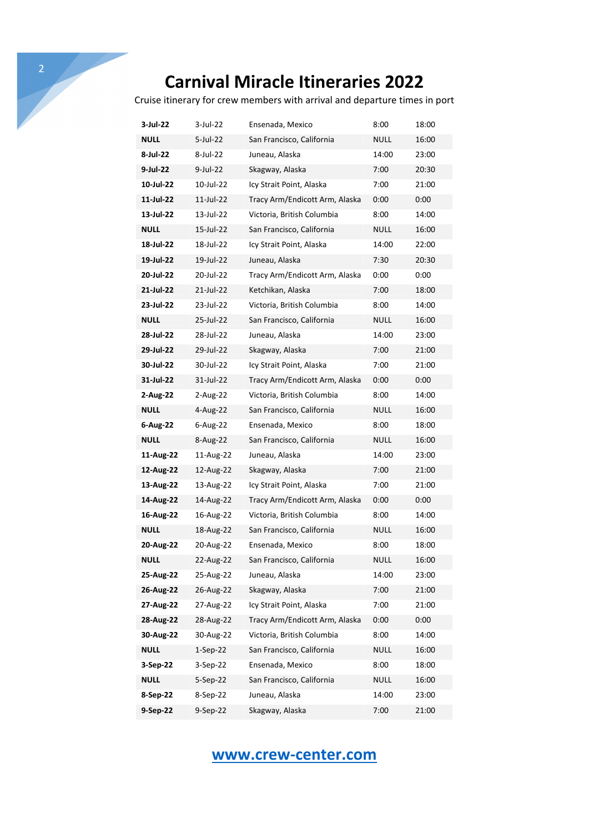Cruise itinerary for crew members with arrival and departure times in port

| 3-Jul-22    | 3-Jul-22    | Ensenada, Mexico               | 8:00        | 18:00 |
|-------------|-------------|--------------------------------|-------------|-------|
| <b>NULL</b> | 5-Jul-22    | San Francisco, California      | NULL        | 16:00 |
| 8-Jul-22    | 8-Jul-22    | Juneau, Alaska                 | 14:00       | 23:00 |
| 9-Jul-22    | $9$ -Jul-22 | Skagway, Alaska                | 7:00        | 20:30 |
| 10-Jul-22   | 10-Jul-22   | Icy Strait Point, Alaska       | 7:00        | 21:00 |
| 11-Jul-22   | 11-Jul-22   | Tracy Arm/Endicott Arm, Alaska | 0:00        | 0:00  |
| 13-Jul-22   | 13-Jul-22   | Victoria, British Columbia     | 8:00        | 14:00 |
| <b>NULL</b> | 15-Jul-22   | San Francisco, California      | NULL        | 16:00 |
| 18-Jul-22   | 18-Jul-22   | Icy Strait Point, Alaska       | 14:00       | 22:00 |
| 19-Jul-22   | 19-Jul-22   | Juneau, Alaska                 | 7:30        | 20:30 |
| 20-Jul-22   | 20-Jul-22   | Tracy Arm/Endicott Arm, Alaska | 0:00        | 0:00  |
| 21-Jul-22   | 21-Jul-22   | Ketchikan, Alaska              | 7:00        | 18:00 |
| 23-Jul-22   | 23-Jul-22   | Victoria, British Columbia     | 8:00        | 14:00 |
| <b>NULL</b> | 25-Jul-22   | San Francisco, California      | NULL        | 16:00 |
| 28-Jul-22   | 28-Jul-22   | Juneau, Alaska                 | 14:00       | 23:00 |
| 29-Jul-22   | 29-Jul-22   | Skagway, Alaska                | 7:00        | 21:00 |
| 30-Jul-22   | 30-Jul-22   | Icy Strait Point, Alaska       | 7:00        | 21:00 |
| 31-Jul-22   | 31-Jul-22   | Tracy Arm/Endicott Arm, Alaska | 0:00        | 0:00  |
| 2-Aug-22    | 2-Aug-22    | Victoria, British Columbia     | 8:00        | 14:00 |
| <b>NULL</b> | 4-Aug-22    | San Francisco, California      | NULL        | 16:00 |
| 6-Aug-22    | 6-Aug-22    | Ensenada, Mexico               | 8:00        | 18:00 |
| <b>NULL</b> | 8-Aug-22    | San Francisco, California      | NULL        | 16:00 |
| 11-Aug-22   | 11-Aug-22   | Juneau, Alaska                 | 14:00       | 23:00 |
| 12-Aug-22   | 12-Aug-22   | Skagway, Alaska                | 7:00        | 21:00 |
| 13-Aug-22   | 13-Aug-22   | Icy Strait Point, Alaska       | 7:00        | 21:00 |
| 14-Aug-22   | 14-Aug-22   | Tracy Arm/Endicott Arm, Alaska | 0:00        | 0:00  |
| 16-Aug-22   | 16-Aug-22   | Victoria, British Columbia     | 8:00        | 14:00 |
| <b>NULL</b> | 18-Aug-22   | San Francisco, California      | NULL        | 16:00 |
| 20-Aug-22   | 20-Aug-22   | Ensenada, Mexico               | 8:00        | 18:00 |
| NULL        | 22-Aug-22   | San Francisco, California      | <b>NULL</b> | 16:00 |
| 25-Aug-22   | 25-Aug-22   | Juneau, Alaska                 | 14:00       | 23:00 |
| 26-Aug-22   | 26-Aug-22   | Skagway, Alaska                | 7:00        | 21:00 |
| 27-Aug-22   | 27-Aug-22   | Icy Strait Point, Alaska       | 7:00        | 21:00 |
| 28-Aug-22   | 28-Aug-22   | Tracy Arm/Endicott Arm, Alaska | 0:00        | 0:00  |
| 30-Aug-22   | 30-Aug-22   | Victoria, British Columbia     | 8:00        | 14:00 |
| <b>NULL</b> | $1-Sep-22$  | San Francisco, California      | NULL        | 16:00 |
| 3-Sep-22    | 3-Sep-22    | Ensenada, Mexico               | 8:00        | 18:00 |
| <b>NULL</b> | $5-Sep-22$  | San Francisco, California      | NULL        | 16:00 |
| 8-Sep-22    | 8-Sep-22    | Juneau, Alaska                 | 14:00       | 23:00 |
| 9-Sep-22    | 9-Sep-22    | Skagway, Alaska                | 7:00        | 21:00 |

## **www.crew-center.com**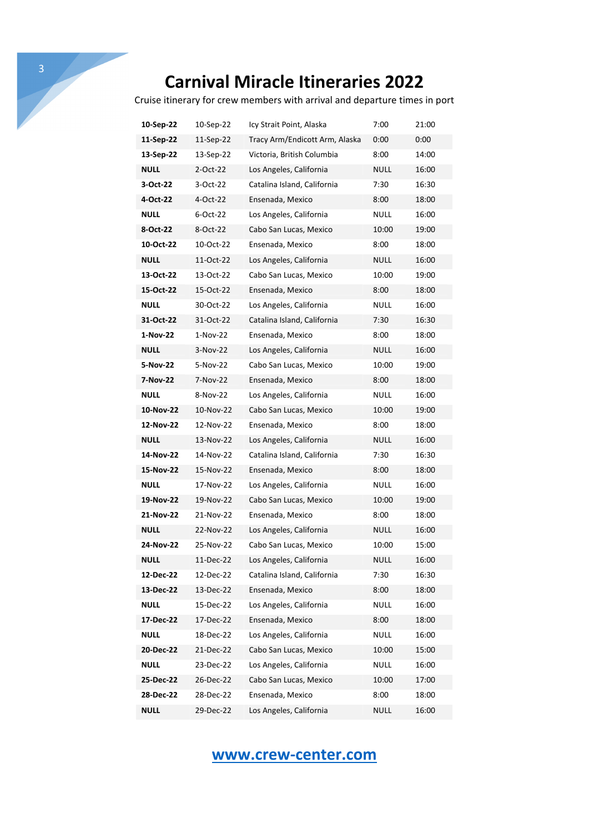Cruise itinerary for crew members with arrival and departure times in port

| 10-Sep-22   | 10-Sep-22 | Icy Strait Point, Alaska       | 7:00        | 21:00 |
|-------------|-----------|--------------------------------|-------------|-------|
| 11-Sep-22   | 11-Sep-22 | Tracy Arm/Endicott Arm, Alaska | 0:00        | 0:00  |
| 13-Sep-22   | 13-Sep-22 | Victoria, British Columbia     | 8:00        | 14:00 |
| <b>NULL</b> | 2-Oct-22  | Los Angeles, California        | NULL        | 16:00 |
| 3-Oct-22    | 3-Oct-22  | Catalina Island, California    | 7:30        | 16:30 |
| 4-Oct-22    | 4-Oct-22  | Ensenada, Mexico               | 8:00        | 18:00 |
| <b>NULL</b> | 6-Oct-22  | Los Angeles, California        | NULL        | 16:00 |
| 8-Oct-22    | 8-Oct-22  | Cabo San Lucas, Mexico         | 10:00       | 19:00 |
| 10-Oct-22   | 10-Oct-22 | Ensenada, Mexico               | 8:00        | 18:00 |
| <b>NULL</b> | 11-Oct-22 | Los Angeles, California        | NULL        | 16:00 |
| 13-Oct-22   | 13-Oct-22 | Cabo San Lucas, Mexico         | 10:00       | 19:00 |
| 15-Oct-22   | 15-Oct-22 | Ensenada, Mexico               | 8:00        | 18:00 |
| <b>NULL</b> | 30-Oct-22 | Los Angeles, California        | NULL        | 16:00 |
| 31-Oct-22   | 31-Oct-22 | Catalina Island, California    | 7:30        | 16:30 |
| 1-Nov-22    | 1-Nov-22  | Ensenada, Mexico               | 8:00        | 18:00 |
| <b>NULL</b> | 3-Nov-22  | Los Angeles, California        | NULL        | 16:00 |
| 5-Nov-22    | 5-Nov-22  | Cabo San Lucas, Mexico         | 10:00       | 19:00 |
| 7-Nov-22    | 7-Nov-22  | Ensenada, Mexico               | 8:00        | 18:00 |
| <b>NULL</b> | 8-Nov-22  | Los Angeles, California        | NULL        | 16:00 |
| 10-Nov-22   | 10-Nov-22 | Cabo San Lucas, Mexico         | 10:00       | 19:00 |
| 12-Nov-22   | 12-Nov-22 | Ensenada, Mexico               | 8:00        | 18:00 |
| NULL        | 13-Nov-22 | Los Angeles, California        | NULL        | 16:00 |
| 14-Nov-22   | 14-Nov-22 | Catalina Island, California    | 7:30        | 16:30 |
| 15-Nov-22   | 15-Nov-22 | Ensenada, Mexico               | 8:00        | 18:00 |
| <b>NULL</b> | 17-Nov-22 | Los Angeles, California        | NULL        | 16:00 |
| 19-Nov-22   | 19-Nov-22 | Cabo San Lucas, Mexico         | 10:00       | 19:00 |
| 21-Nov-22   | 21-Nov-22 | Ensenada, Mexico               | 8:00        | 18:00 |
| <b>NULL</b> | 22-Nov-22 | Los Angeles, California        | <b>NULL</b> | 16:00 |
| 24-Nov-22   | 25-Nov-22 | Cabo San Lucas, Mexico         | 10:00       | 15:00 |
| NULL        | 11-Dec-22 | Los Angeles, California        | NULL        | 16:00 |
| 12-Dec-22   | 12-Dec-22 | Catalina Island, California    | 7:30        | 16:30 |
| 13-Dec-22   | 13-Dec-22 | Ensenada, Mexico               | 8:00        | 18:00 |
| <b>NULL</b> | 15-Dec-22 | Los Angeles, California        | <b>NULL</b> | 16:00 |
| 17-Dec-22   | 17-Dec-22 | Ensenada, Mexico               | 8:00        | 18:00 |
| <b>NULL</b> | 18-Dec-22 | Los Angeles, California        | <b>NULL</b> | 16:00 |
| 20-Dec-22   | 21-Dec-22 | Cabo San Lucas, Mexico         | 10:00       | 15:00 |
| <b>NULL</b> | 23-Dec-22 | Los Angeles, California        | <b>NULL</b> | 16:00 |
| 25-Dec-22   | 26-Dec-22 | Cabo San Lucas, Mexico         | 10:00       | 17:00 |
| 28-Dec-22   | 28-Dec-22 | Ensenada, Mexico               | 8:00        | 18:00 |
| <b>NULL</b> | 29-Dec-22 | Los Angeles, California        | <b>NULL</b> | 16:00 |

#### **www.crew-center.com**